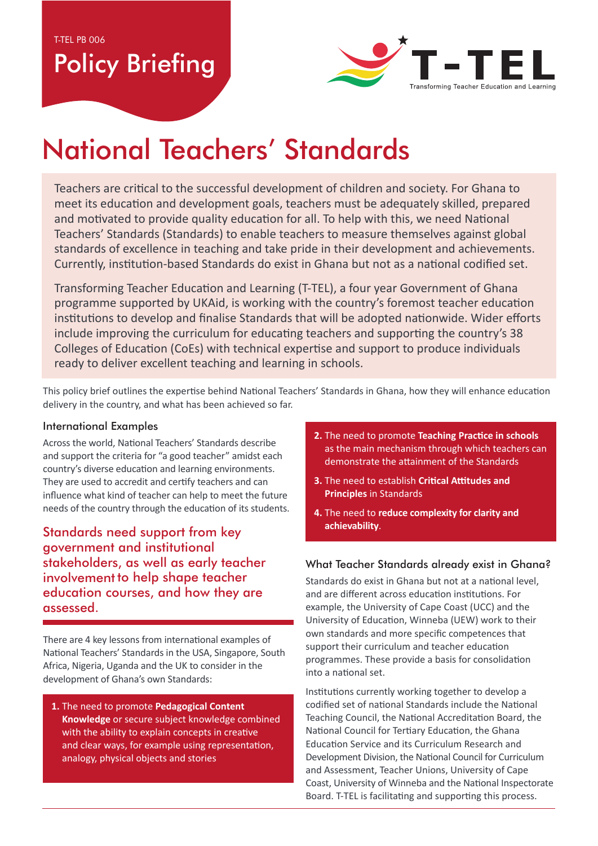T-TEL PB 006

# Policy Briefing



# National Teachers' Standards

Teachers are critical to the successful development of children and society. For Ghana to meet its education and development goals, teachers must be adequately skilled, prepared and motivated to provide quality education for all. To help with this, we need National Teachers' Standards (Standards) to enable teachers to measure themselves against global standards of excellence in teaching and take pride in their development and achievements. Currently, institution-based Standards do exist in Ghana but not as a national codified set.

Transforming Teacher Education and Learning (T-TEL), a four year Government of Ghana programme supported by UKAid, is working with the country's foremost teacher education institutions to develop and finalise Standards that will be adopted nationwide. Wider efforts include improving the curriculum for educating teachers and supporting the country's 38 Colleges of Education (CoEs) with technical expertise and support to produce individuals ready to deliver excellent teaching and learning in schools.

This policy brief outlines the expertise behind National Teachers' Standards in Ghana, how they will enhance education delivery in the country, and what has been achieved so far.

#### International Examples

Across the world, National Teachers' Standards describe and support the criteria for "a good teacher" amidst each country's diverse education and learning environments. They are used to accredit and certify teachers and can influence what kind of teacher can help to meet the future needs of the country through the education of its students.

Standards need support from key government and institutional stakeholders, as well as early teacher involvement to help shape teacher education courses, and how they are assessed.

There are 4 key lessons from international examples of National Teachers' Standards in the USA, Singapore, South Africa, Nigeria, Uganda and the UK to consider in the development of Ghana's own Standards:

1. The need to promote Pedagogical Content Knowledge or secure subject knowledge combined with the ability to explain concepts in creative and clear ways, for example using representation, analogy, physical objects and stories

- 2. The need to promote Teaching Practice in schools as the main mechanism through which teachers can demonstrate the attainment of the Standards
- **3.** The need to establish Critical Attitudes and **Principles** in Standards
- 4. The need to reduce complexity for clarity and achievability.

#### What Teacher Standards already exist in Ghana?

Standards do exist in Ghana but not at a national level. and are different across education institutions. For example, the University of Cape Coast (UCC) and the University of Education, Winneba (UEW) work to their own standards and more specific competences that support their curriculum and teacher education programmes. These provide a basis for consolidation into a national set.

Institutions currently working together to develop a codified set of national Standards include the National Teaching Council, the National Accreditation Board, the National Council for Tertiary Education, the Ghana Education Service and its Curriculum Research and Development Division, the National Council for Curriculum and Assessment, Teacher Unions, University of Cape Coast, University of Winneba and the National Inspectorate Board. T-TEL is facilitating and supporting this process.